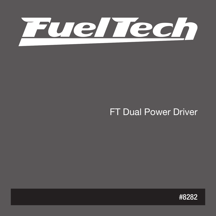

# FT Dual Power Driver

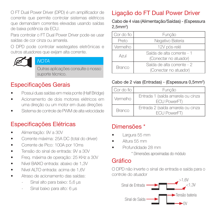O FT Dual Power Driver (DPD) é um amplificador de corrente que permite controlar sistemas elétricos que demandam correntes elevadas usando saídas de baixa potência da ECU.

Para controlar o FT Dual Power Driver pode-se usar saídas de cor cinza ou amarela.

O DPD pode controlar wastegates eletrônicas e outros atuadores que exijam alta corrente.



#### **NOTA**

Outras aplicações consulte o nosso suporte técnico.

## Especificações Gerais

- Possui duas saídas em meia ponte (Half Bridge)
- Acionamento de dois motores elétricos em uma direção ou um motor em duas direções
- Sistema de controle de PWM de alta velocidade

## Especificações Elétricas

- Alimentação: 9V a 30V
- Corrente máxima: 25A DC (total do driver)
- Corrente de Pico: 100A por 10ms
- Tensão do sinal de entrada: 9V a 30V
- Freq. máxima de operação: 25 KHz a 30V
- Nível BAIXO entrada: abaixo de 1,3V
- Nível ALTO entrada: acima de 1,6V
- Atraso de acionamento das saídas:
	- Sinal alto para baixo: 5,6 μs
	- Sinal baixo para alto: 6 μs

## Ligação do FT Dual Power Driver

Cabo de 4 vias (Alimentação/Saídas) - (Espessura 2,5mm<sup>2</sup> )

| Cor do fio                                                           | Função           |  |  |
|----------------------------------------------------------------------|------------------|--|--|
| Preto                                                                | Negativo Bateria |  |  |
| Vermelho                                                             | 12V pós-relé     |  |  |
| Saída de alta corrente - 1<br>Azul<br>(Conectar no atuador)          |                  |  |  |
| Saída de alta corrente - 2<br><b>Branco</b><br>(Conectar no atuador) |                  |  |  |

#### Cabo de 2 vias (Entradas) - (Espessura 0,5mm<sup>2</sup>)

| l Cor do fio | Funcão                                            |  |  |
|--------------|---------------------------------------------------|--|--|
| Vermelho     | Entrada 1 (saída amarela ou cinza<br>ECU PowerFT) |  |  |
| Branco       | Entrada 2 (saída amarela ou cinza<br>ECU PowerFT) |  |  |

### Dimensões \*

- Largura 55 mm
- Altura 55 mm
- Profundidade 28 mm

\* Dimensões aproximadas do módulo

#### Gráfico

O DPD não inverte o sinal de entrada e saída para o controle do atuador

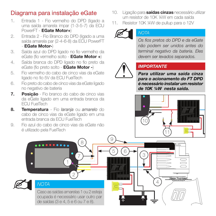## Diagrama para instalação eGate

- 1. Entrada 1 Fio vermelho do DPD (ligado a uma saída amarela impar (1-3-5-7) da ECU PowerFT - EGate Motor+)
- 2. Entrada 2 Fio Branco do DPD (ligado a uma saída amarela par (2-4-6-8) da ECU PowerFT - EGate Motor-)
- 3. Saída azul do DPD ligado no fio vermelho da eGate (fio vermelho solto - EGate Motor +)
- 4. Saída branca do DPD ligado no fio preto da eGate (fio preto solto - EGate Motor -)
- 5. Fio vermelho do cabo de cinco vias da eGate ligado no fio 5V da ECU FuelTech
- 6. Fio preto do cabo de cinco vias da eGate ligado no negativo de bateria
- 7. Posicão Fio branco do cabo de cinco vias da eGate ligado em uma entrada branca da ECU FuelTech
- 8. Temperatura Fio *larania* ou amarelo do cabo de cinco vias da eGate ligado em uma entrada branca da ECU FuelTech
- 9. Fio azul do cabo de cinco vias da eGate não é utilizado pela FuelTech
- 10. Ligação para **saídas cinzas** necessário utilizar um resistor de 10K 1/4W em cada saída
- 11. Resistor 10K ¼W de pullup para o 12V



#### **NOTA**

Os fios pretos do DPD e da eGate não podem ser unidos antes do terminal negativo da bateria. Eles devem ser levados separados.



#### IMPORTANTE

Para utilizar uma saída cinza para o acionamento do FT DPD é necessário instalar um resistor de 10K 1/4W nesta saída.



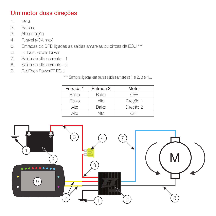## Um motor duas direções

- 1. Terra
- 2. Bateria
- 3. Alimentação
- 4. Fusível (40A max)
- 5. Entradas do DPD ligadas as saídas amarelas ou cinzas da ECU \*\*\*
- 6. FT Dual Power Driver
- 7. Saída de alta corrente 1
- 8. Saída de alta corrente 2
- 9. FuelTech PowerFT FCU

\*\*\* Sempre ligadas em pares saídas amarelas 1 e 2, 3 e 4...

| Entrada 1 | Entrada 2 | Motor     |
|-----------|-----------|-----------|
| Baixo     | Baixo     | OFF       |
| Baixo     | Alto      | Direcão 1 |
| Alto      | Baixo     | Direcão 2 |
| Alto      | Alto      | F         |

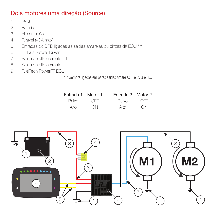## Dois motores uma direção (Source)

- 1. Terra
- 2. Bateria
- 3. Alimentação
- 4. Fusível (40A max)
- 5. Entradas do DPD ligadas as saídas amarelas ou cinzas da ECU \*\*\*
- 6. FT Dual Power Driver
- 7. Saída de alta corrente 1
- 8. Saída de alta corrente 2
- 9. FuelTech PowerFT FCU

\*\*\* Sempre ligadas em pares saídas amarelas 1 e 2, 3 e 4...

| Entrada 1 | Motor 1 |
|-----------|---------|
| Baixo     |         |
| Alto      |         |

| Entrada 1   Motor 1 |  | Entrada 2   Motor 2 |  |
|---------------------|--|---------------------|--|
| Baixo               |  | Baixo               |  |
|                     |  |                     |  |

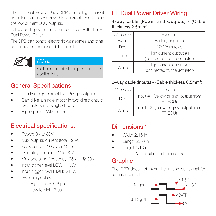The FT Dual Power Driver (DPD) is a high current amplifier that allows drive high current loads using the low current ECU outputs.

Yellow and gray outputs can be used with the FT Dual Power Driver.

The DPD can control electronic wastegates and other actuators that demand high current.



#### **NOTE**

Call our technical support for other applications.

## General Specifications

- Has two high current Half Bridge outputs
- Can drive a single motor in two directions, or two motors in a single direction
- High speed PWM control

### Electrical specifications:

- Power: 9V to 30V
- Max outputs current (total): 25A
- Peak current: 100A for 10ms
- Operating voltage: 9V to 30V
- Max operating frequency: 25KHz @ 30V
- Input trigger level LOW: <1.3V
- Input trigger level HIGH: >1.6V
- Switching delay:
	- High to low: 5.6 μs
	- Low to high: 6 μs

## FT Dual Power Driver Wiring

4-way cable (Power and Outputs) - (Cable thickness 2.5mm<sup>2</sup>)

| Wire color   | Function                    |  |  |
|--------------|-----------------------------|--|--|
| <b>Black</b> | Battery negative            |  |  |
| Red          | 12V from relay              |  |  |
| Blue         | High current output #1      |  |  |
|              | (connected to the actuator) |  |  |
| White        | High current output #2      |  |  |
|              | (connected to the actuator) |  |  |

#### 2-way cable (Inputs) - (Cable thickess 0.5mm<sup>2</sup>)

| Wire color I | <b>Function</b>                                 |  |  |
|--------------|-------------------------------------------------|--|--|
| Red          | Input #1 (yellow or gray output from<br>FT FCU) |  |  |
| White        | Input #2 (yellow or gray output from<br>ET ECLI |  |  |

### Dimensions \*

- Width 2.16 in
- Length 2.16 in
- Height 1.10 in

\*Approximate module dimensions

#### Graphic

The DPD does not invert the in and out signal for actuator control

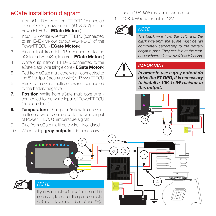## eGate installation diagram

- 1. Input #1 Red wire from FT DPD (connected to an ODD yellow output (#1-3-5-7) of the PowerFT FCU - EGate Motor+)
- 2. Input #2 White wire from FT DPD (connected to an EVEN yellow output (#2-4-6-8) of the PowerFT FCU - EGate Motor-)
- 3. Blue output from FT DPD connected to the eGate red wire (Single core - EGate Motor+)
- 4. White output from FT DPD connected to the eGate black wire (single core - EGate Motor-)
- 5. Red from eGate multi core wire connected to the 5V output (green/red wire) of PowerFT ECU
- 6. Black from eGate multi core wire connected to the battery negative
- **7.** Position White from eGate multi core wire connected to the white input of PowerFT ECU (Position signal)
- 8. Temperature Orange or Yellow from eGate multi core wire - connected to the white input of PowerFT ECU (Temperature signal)
- 9. Blue from eGate multi core wire Not Used
- 10. When using **gray outputs** it is necessary to

use a 10K 1/4W resistor in each output

11. 10K ¼W resistor pullup 12V



#### **NOTE**

The black wire from the DPD and the black wire from the eGate must be ran completely separately to the battery negative post. They can join at the post but nowhere before to avoid back feeding.



#### IMPORTANT

In order to use a gray output do drive the FT DPD, it is necessary to install a 10K 1/4W resistor in this output.



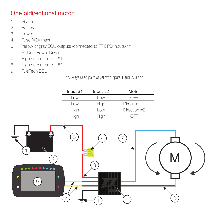## One bidirectional motor

- 1. Ground
- 2. Battery
- 3. Power
- 4. Fuse (40A max)
- 5. Yellow or gray ECU outputs (connected to FT DPD inputs) \*\*\*
- 6. FT Dual Power Driver
- 7. High current output #1
- 8. High current output #2
- 9. FuelTech ECU

\*\*\*Always used pairs of yellow outputs 1 and 2, 3 and 4 ...

| Input $#1$ | Input #2       | Motor        |
|------------|----------------|--------------|
| l ow       | 0 <sub>W</sub> | OFF          |
| OW         | Hiah           | Direction #1 |
| Hiah       | l ow           | Direction #2 |
|            |                | ำ⊢⊢          |

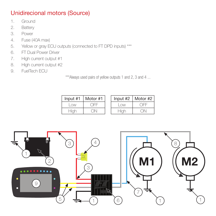## Unidirecional motors (Source)

- 1. Ground
- 2. Battery
- 3. Power
- 4. Fuse (40A max)
- 5. Yellow or gray ECU outputs (connected to FT DPD inputs) \*\*\*
- 6. FT Dual Power Driver
- 7. High current output #1
- 8. High current output #2
- 9. FuelTech ECU

\*\*\*Always used pairs of yellow outputs 1 and 2, 3 and 4 ...

| Input $#1$     | Motor #1 |
|----------------|----------|
| 0 <sub>W</sub> |          |
| Hiah           |          |

| Input #1 | Motor #1 |                                | Input #2   Motor #2 |
|----------|----------|--------------------------------|---------------------|
| l ow     |          | 0 <sub>W</sub>                 | ∩FF                 |
| -liah    |          | $\mathbb{H}^1 \cup \mathbb{H}$ |                     |